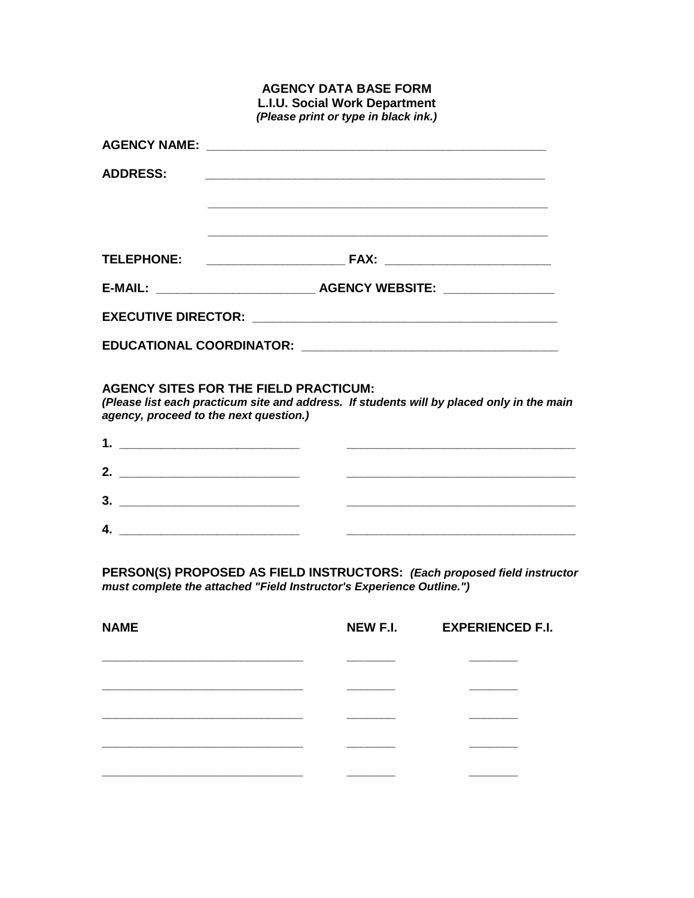|                                                                                                                             | <b>L.I.U. Social Work Department</b><br>(Please print or type in black ink.)                                                              |
|-----------------------------------------------------------------------------------------------------------------------------|-------------------------------------------------------------------------------------------------------------------------------------------|
|                                                                                                                             |                                                                                                                                           |
| <b>ADDRESS:</b>                                                                                                             | <u> 1989 - Johann Stoff, deutscher Stoff, der Stoff, der Stoff, der Stoff, der Stoff, der Stoff, der Stoff, der S</u>                     |
|                                                                                                                             |                                                                                                                                           |
|                                                                                                                             |                                                                                                                                           |
|                                                                                                                             |                                                                                                                                           |
|                                                                                                                             |                                                                                                                                           |
| agency, proceed to the next question.)                                                                                      | <b>AGENCY SITES FOR THE FIELD PRACTICUM:</b><br>(Please list each practicum site and address. If students will by placed only in the main |
|                                                                                                                             |                                                                                                                                           |
| 2. $\qquad \qquad$                                                                                                          |                                                                                                                                           |
|                                                                                                                             | <u> 1989 - Johann Barn, mars ar breithinn ar chwaraeth a chwaraeth a chwaraeth a chwaraeth a chwaraeth a chwaraet</u>                     |
| 4.<br><u> 1989 - Johann Barn, mars eta bainar eta baina eta baina eta baina eta baina eta baina eta baina eta baina eta</u> |                                                                                                                                           |
|                                                                                                                             |                                                                                                                                           |

**AGENCY DATA BASE FORM**

**PERSON(S) PROPOSED AS FIELD INSTRUCTORS:** *(Each proposed field instructor must complete the attached "Field Instructor's Experience Outline.")*

| <b>NAME</b> | <b>NEW F.I.</b> | <b>EXPERIENCED F.I.</b> |
|-------------|-----------------|-------------------------|
|             |                 |                         |
|             |                 |                         |
|             |                 |                         |
|             |                 |                         |
|             |                 |                         |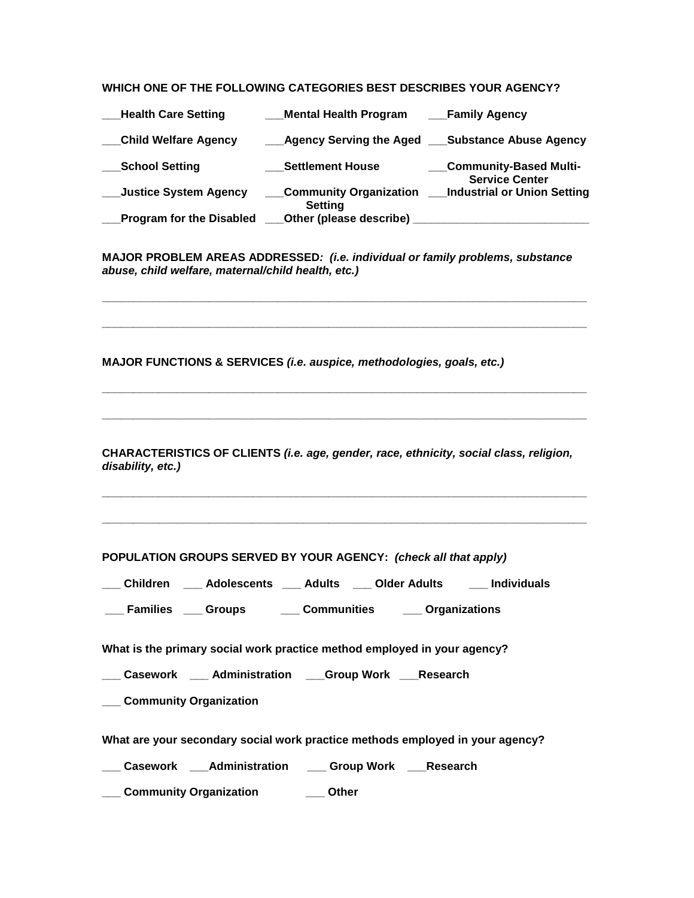## **WHICH ONE OF THE FOLLOWING CATEGORIES BEST DESCRIBES YOUR AGENCY?**

| <b>Health Care Setting</b>      | <b>Mental Health Program</b>             | <b>Family Agency</b>                                   |
|---------------------------------|------------------------------------------|--------------------------------------------------------|
| <b>Child Welfare Agency</b>     | <b>Agency Serving the Aged</b>           | <b>Substance Abuse Agency</b>                          |
| <b>School Setting</b>           | <b>Settlement House</b>                  | <b>Community-Based Multi-</b><br><b>Service Center</b> |
| <b>Justice System Agency</b>    | <b>Community Organization</b><br>Setting | <b>Industrial or Union Setting</b>                     |
| <b>Program for the Disabled</b> | <b>Other (please describe)</b>           |                                                        |

**MAJOR PROBLEM AREAS ADDRESSED***: (i.e. individual or family problems, substance abuse, child welfare, maternal/child health, etc.)*

**\_\_\_\_\_\_\_\_\_\_\_\_\_\_\_\_\_\_\_\_\_\_\_\_\_\_\_\_\_\_\_\_\_\_\_\_\_\_\_\_\_\_\_\_\_\_\_\_\_\_\_\_\_\_\_\_\_\_\_\_\_\_\_\_\_\_\_\_\_\_\_\_\_\_\_\_\_**

**\_\_\_\_\_\_\_\_\_\_\_\_\_\_\_\_\_\_\_\_\_\_\_\_\_\_\_\_\_\_\_\_\_\_\_\_\_\_\_\_\_\_\_\_\_\_\_\_\_\_\_\_\_\_\_\_\_\_\_\_\_\_\_\_\_\_\_\_\_\_\_\_\_\_\_\_\_**

**\_\_\_\_\_\_\_\_\_\_\_\_\_\_\_\_\_\_\_\_\_\_\_\_\_\_\_\_\_\_\_\_\_\_\_\_\_\_\_\_\_\_\_\_\_\_\_\_\_\_\_\_\_\_\_\_\_\_\_\_\_\_\_\_\_\_\_\_\_\_\_\_\_\_\_\_\_**

**\_\_\_\_\_\_\_\_\_\_\_\_\_\_\_\_\_\_\_\_\_\_\_\_\_\_\_\_\_\_\_\_\_\_\_\_\_\_\_\_\_\_\_\_\_\_\_\_\_\_\_\_\_\_\_\_\_\_\_\_\_\_\_\_\_\_\_\_\_\_\_\_\_\_\_\_\_**

**MAJOR FUNCTIONS & SERVICES** *(i.e. auspice, methodologies, goals, etc.)*

**CHARACTERISTICS OF CLIENTS** *(i.e. age, gender, race, ethnicity, social class, religion, disability, etc.)*

**\_\_\_\_\_\_\_\_\_\_\_\_\_\_\_\_\_\_\_\_\_\_\_\_\_\_\_\_\_\_\_\_\_\_\_\_\_\_\_\_\_\_\_\_\_\_\_\_\_\_\_\_\_\_\_\_\_\_\_\_\_\_\_\_\_\_\_\_\_\_\_\_\_\_\_\_\_**

**\_\_\_\_\_\_\_\_\_\_\_\_\_\_\_\_\_\_\_\_\_\_\_\_\_\_\_\_\_\_\_\_\_\_\_\_\_\_\_\_\_\_\_\_\_\_\_\_\_\_\_\_\_\_\_\_\_\_\_\_\_\_\_\_\_\_\_\_\_\_\_\_\_\_\_\_\_**

**POPULATION GROUPS SERVED BY YOUR AGENCY:** *(check all that apply)*

**\_\_\_ Children \_\_\_ Adolescents \_\_\_ Adults \_\_\_ Older Adults \_\_\_ Individuals**

**\_\_\_ Families \_\_\_ Groups \_\_\_ Communities \_\_\_ Organizations**

**What is the primary social work practice method employed in your agency?**

**\_\_\_ Casework \_\_\_ Administration \_\_\_Group Work \_\_\_Research**

**\_\_\_ Community Organization**

**What are your secondary social work practice methods employed in your agency?**

**\_\_\_ Casework \_\_\_Administration \_\_\_ Group Work \_\_\_Research**

**\_\_\_ Community Organization \_\_\_ Other**